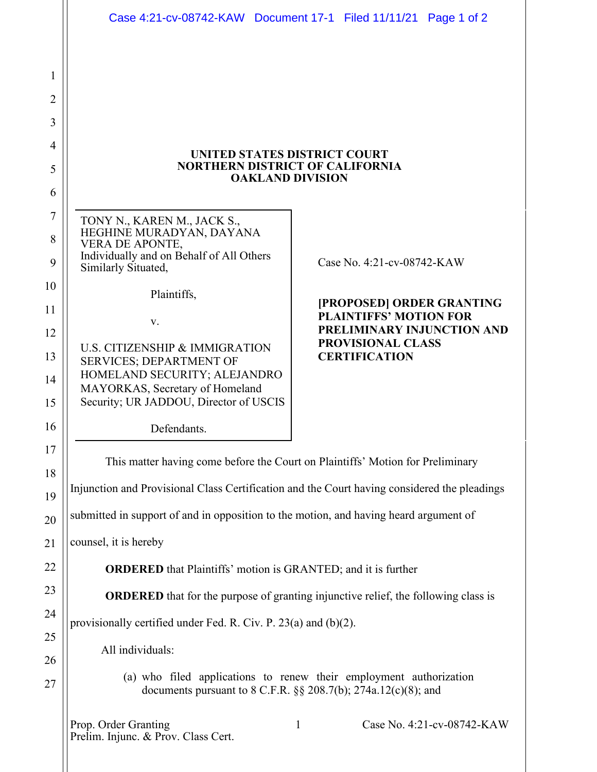| <b>UNITED STATES DISTRICT COURT</b><br><b>NORTHERN DISTRICT OF CALIFORNIA</b><br><b>OAKLAND DIVISION</b><br>TONY N., KAREN M., JACK S.,<br>HEGHINE MURADYAN, DAYANA<br>VERA DE APONTE,<br>Individually and on Behalf of All Others<br>Case No. 4:21-cv-08742-KAW<br>Similarly Situated,<br>Plaintiffs,<br>[PROPOSED] ORDER GRANTING<br><b>PLAINTIFFS' MOTION FOR</b><br>V.<br>PRELIMINARY INJUNCTION AND<br>PROVISIONAL CLASS<br>U.S. CITIZENSHIP & IMMIGRATION<br><b>CERTIFICATION</b><br><b>SERVICES; DEPARTMENT OF</b><br>HOMELAND SECURITY; ALEJANDRO<br>MAYORKAS, Secretary of Homeland<br>Security; UR JADDOU, Director of USCIS<br>Defendants.<br>This matter having come before the Court on Plaintiffs' Motion for Preliminary<br>Injunction and Provisional Class Certification and the Court having considered the pleadings<br>submitted in support of and in opposition to the motion, and having heard argument of<br>counsel, it is hereby<br><b>ORDERED</b> that Plaintiffs' motion is GRANTED; and it is further<br><b>ORDERED</b> that for the purpose of granting injunctive relief, the following class is<br>provisionally certified under Fed. R. Civ. P. $23(a)$ and $(b)(2)$ .<br>All individuals:<br>(a) who filed applications to renew their employment authorization<br>documents pursuant to 8 C.F.R. $\S$ § 208.7(b); 274a.12(c)(8); and<br>Prop. Order Granting<br>Case No. 4:21-cv-08742-KAW<br>1<br>Prelim. Injunc. & Prov. Class Cert. |  | Case 4:21-cv-08742-KAW Document 17-1 Filed 11/11/21 Page 1 of 2 |  |  |  |  |  |
|--------------------------------------------------------------------------------------------------------------------------------------------------------------------------------------------------------------------------------------------------------------------------------------------------------------------------------------------------------------------------------------------------------------------------------------------------------------------------------------------------------------------------------------------------------------------------------------------------------------------------------------------------------------------------------------------------------------------------------------------------------------------------------------------------------------------------------------------------------------------------------------------------------------------------------------------------------------------------------------------------------------------------------------------------------------------------------------------------------------------------------------------------------------------------------------------------------------------------------------------------------------------------------------------------------------------------------------------------------------------------------------------------------------------------------------------------------------------------|--|-----------------------------------------------------------------|--|--|--|--|--|
|                                                                                                                                                                                                                                                                                                                                                                                                                                                                                                                                                                                                                                                                                                                                                                                                                                                                                                                                                                                                                                                                                                                                                                                                                                                                                                                                                                                                                                                                          |  |                                                                 |  |  |  |  |  |
|                                                                                                                                                                                                                                                                                                                                                                                                                                                                                                                                                                                                                                                                                                                                                                                                                                                                                                                                                                                                                                                                                                                                                                                                                                                                                                                                                                                                                                                                          |  |                                                                 |  |  |  |  |  |
|                                                                                                                                                                                                                                                                                                                                                                                                                                                                                                                                                                                                                                                                                                                                                                                                                                                                                                                                                                                                                                                                                                                                                                                                                                                                                                                                                                                                                                                                          |  |                                                                 |  |  |  |  |  |
|                                                                                                                                                                                                                                                                                                                                                                                                                                                                                                                                                                                                                                                                                                                                                                                                                                                                                                                                                                                                                                                                                                                                                                                                                                                                                                                                                                                                                                                                          |  |                                                                 |  |  |  |  |  |
|                                                                                                                                                                                                                                                                                                                                                                                                                                                                                                                                                                                                                                                                                                                                                                                                                                                                                                                                                                                                                                                                                                                                                                                                                                                                                                                                                                                                                                                                          |  |                                                                 |  |  |  |  |  |
|                                                                                                                                                                                                                                                                                                                                                                                                                                                                                                                                                                                                                                                                                                                                                                                                                                                                                                                                                                                                                                                                                                                                                                                                                                                                                                                                                                                                                                                                          |  |                                                                 |  |  |  |  |  |
|                                                                                                                                                                                                                                                                                                                                                                                                                                                                                                                                                                                                                                                                                                                                                                                                                                                                                                                                                                                                                                                                                                                                                                                                                                                                                                                                                                                                                                                                          |  |                                                                 |  |  |  |  |  |
|                                                                                                                                                                                                                                                                                                                                                                                                                                                                                                                                                                                                                                                                                                                                                                                                                                                                                                                                                                                                                                                                                                                                                                                                                                                                                                                                                                                                                                                                          |  |                                                                 |  |  |  |  |  |
|                                                                                                                                                                                                                                                                                                                                                                                                                                                                                                                                                                                                                                                                                                                                                                                                                                                                                                                                                                                                                                                                                                                                                                                                                                                                                                                                                                                                                                                                          |  |                                                                 |  |  |  |  |  |
|                                                                                                                                                                                                                                                                                                                                                                                                                                                                                                                                                                                                                                                                                                                                                                                                                                                                                                                                                                                                                                                                                                                                                                                                                                                                                                                                                                                                                                                                          |  |                                                                 |  |  |  |  |  |
|                                                                                                                                                                                                                                                                                                                                                                                                                                                                                                                                                                                                                                                                                                                                                                                                                                                                                                                                                                                                                                                                                                                                                                                                                                                                                                                                                                                                                                                                          |  |                                                                 |  |  |  |  |  |
|                                                                                                                                                                                                                                                                                                                                                                                                                                                                                                                                                                                                                                                                                                                                                                                                                                                                                                                                                                                                                                                                                                                                                                                                                                                                                                                                                                                                                                                                          |  |                                                                 |  |  |  |  |  |
|                                                                                                                                                                                                                                                                                                                                                                                                                                                                                                                                                                                                                                                                                                                                                                                                                                                                                                                                                                                                                                                                                                                                                                                                                                                                                                                                                                                                                                                                          |  |                                                                 |  |  |  |  |  |
|                                                                                                                                                                                                                                                                                                                                                                                                                                                                                                                                                                                                                                                                                                                                                                                                                                                                                                                                                                                                                                                                                                                                                                                                                                                                                                                                                                                                                                                                          |  |                                                                 |  |  |  |  |  |
|                                                                                                                                                                                                                                                                                                                                                                                                                                                                                                                                                                                                                                                                                                                                                                                                                                                                                                                                                                                                                                                                                                                                                                                                                                                                                                                                                                                                                                                                          |  |                                                                 |  |  |  |  |  |
|                                                                                                                                                                                                                                                                                                                                                                                                                                                                                                                                                                                                                                                                                                                                                                                                                                                                                                                                                                                                                                                                                                                                                                                                                                                                                                                                                                                                                                                                          |  |                                                                 |  |  |  |  |  |
|                                                                                                                                                                                                                                                                                                                                                                                                                                                                                                                                                                                                                                                                                                                                                                                                                                                                                                                                                                                                                                                                                                                                                                                                                                                                                                                                                                                                                                                                          |  |                                                                 |  |  |  |  |  |
|                                                                                                                                                                                                                                                                                                                                                                                                                                                                                                                                                                                                                                                                                                                                                                                                                                                                                                                                                                                                                                                                                                                                                                                                                                                                                                                                                                                                                                                                          |  |                                                                 |  |  |  |  |  |
|                                                                                                                                                                                                                                                                                                                                                                                                                                                                                                                                                                                                                                                                                                                                                                                                                                                                                                                                                                                                                                                                                                                                                                                                                                                                                                                                                                                                                                                                          |  |                                                                 |  |  |  |  |  |
|                                                                                                                                                                                                                                                                                                                                                                                                                                                                                                                                                                                                                                                                                                                                                                                                                                                                                                                                                                                                                                                                                                                                                                                                                                                                                                                                                                                                                                                                          |  |                                                                 |  |  |  |  |  |
|                                                                                                                                                                                                                                                                                                                                                                                                                                                                                                                                                                                                                                                                                                                                                                                                                                                                                                                                                                                                                                                                                                                                                                                                                                                                                                                                                                                                                                                                          |  |                                                                 |  |  |  |  |  |
|                                                                                                                                                                                                                                                                                                                                                                                                                                                                                                                                                                                                                                                                                                                                                                                                                                                                                                                                                                                                                                                                                                                                                                                                                                                                                                                                                                                                                                                                          |  |                                                                 |  |  |  |  |  |
|                                                                                                                                                                                                                                                                                                                                                                                                                                                                                                                                                                                                                                                                                                                                                                                                                                                                                                                                                                                                                                                                                                                                                                                                                                                                                                                                                                                                                                                                          |  |                                                                 |  |  |  |  |  |

1

2

3

4

5

6

7

8

9

10

11

12

13

14

15

16

17

18

19

20

21

22

23

24

25

26

27